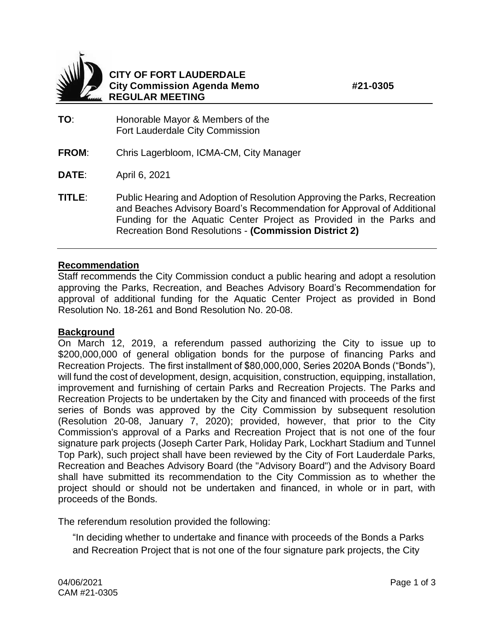



## **CITY OF FORT LAUDERDALE City Commission Agenda Memo #21-0305 REGULAR MEETING**

- **TO**: Honorable Mayor & Members of the Fort Lauderdale City Commission
- **FROM**: Chris Lagerbloom, ICMA-CM, City Manager
- **DATE**: April 6, 2021
- **TITLE**: Public Hearing and Adoption of Resolution Approving the Parks, Recreation and Beaches Advisory Board's Recommendation for Approval of Additional Funding for the Aquatic Center Project as Provided in the Parks and Recreation Bond Resolutions - **(Commission District 2)**

## **Recommendation**

Staff recommends the City Commission conduct a public hearing and adopt a resolution approving the Parks, Recreation, and Beaches Advisory Board's Recommendation for approval of additional funding for the Aquatic Center Project as provided in Bond Resolution No. 18-261 and Bond Resolution No. 20-08.

## **Background**

On March 12, 2019, a referendum passed authorizing the City to issue up to \$200,000,000 of general obligation bonds for the purpose of financing Parks and Recreation Projects. The first installment of \$80,000,000, Series 2020A Bonds ("Bonds"), will fund the cost of development, design, acquisition, construction, equipping, installation, improvement and furnishing of certain Parks and Recreation Projects. The Parks and Recreation Projects to be undertaken by the City and financed with proceeds of the first series of Bonds was approved by the City Commission by subsequent resolution (Resolution 20-08, January 7, 2020); provided, however, that prior to the City Commission's approval of a Parks and Recreation Project that is not one of the four signature park projects (Joseph Carter Park, Holiday Park, Lockhart Stadium and Tunnel Top Park), such project shall have been reviewed by the City of Fort Lauderdale Parks, Recreation and Beaches Advisory Board (the "Advisory Board") and the Advisory Board shall have submitted its recommendation to the City Commission as to whether the project should or should not be undertaken and financed, in whole or in part, with proceeds of the Bonds.

The referendum resolution provided the following:

"In deciding whether to undertake and finance with proceeds of the Bonds a Parks and Recreation Project that is not one of the four signature park projects, the City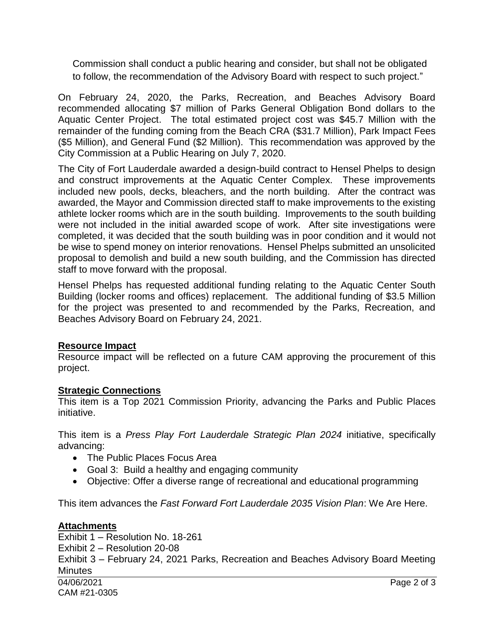Commission shall conduct a public hearing and consider, but shall not be obligated to follow, the recommendation of the Advisory Board with respect to such project."

On February 24, 2020, the Parks, Recreation, and Beaches Advisory Board recommended allocating \$7 million of Parks General Obligation Bond dollars to the Aquatic Center Project. The total estimated project cost was \$45.7 Million with the remainder of the funding coming from the Beach CRA (\$31.7 Million), Park Impact Fees (\$5 Million), and General Fund (\$2 Million). This recommendation was approved by the City Commission at a Public Hearing on July 7, 2020.

The City of Fort Lauderdale awarded a design-build contract to Hensel Phelps to design and construct improvements at the Aquatic Center Complex. These improvements included new pools, decks, bleachers, and the north building. After the contract was awarded, the Mayor and Commission directed staff to make improvements to the existing athlete locker rooms which are in the south building. Improvements to the south building were not included in the initial awarded scope of work. After site investigations were completed, it was decided that the south building was in poor condition and it would not be wise to spend money on interior renovations. Hensel Phelps submitted an unsolicited proposal to demolish and build a new south building, and the Commission has directed staff to move forward with the proposal.

Hensel Phelps has requested additional funding relating to the Aquatic Center South Building (locker rooms and offices) replacement. The additional funding of \$3.5 Million for the project was presented to and recommended by the Parks, Recreation, and Beaches Advisory Board on February 24, 2021.

# **Resource Impact**

Resource impact will be reflected on a future CAM approving the procurement of this project.

## **Strategic Connections**

This item is a Top 2021 Commission Priority, advancing the Parks and Public Places initiative.

This item is a *Press Play Fort Lauderdale Strategic Plan 2024* initiative, specifically advancing:

- The Public Places Focus Area
- Goal 3: Build a healthy and engaging community
- Objective: Offer a diverse range of recreational and educational programming

This item advances the *Fast Forward Fort Lauderdale 2035 Vision Plan*: We Are Here.

## **Attachments**

04/06/2021 Page 2 of 3 CAM #21-0305 Exhibit 1 – Resolution No. 18-261 Exhibit 2 – Resolution 20-08 Exhibit 3 – February 24, 2021 Parks, Recreation and Beaches Advisory Board Meeting **Minutes**